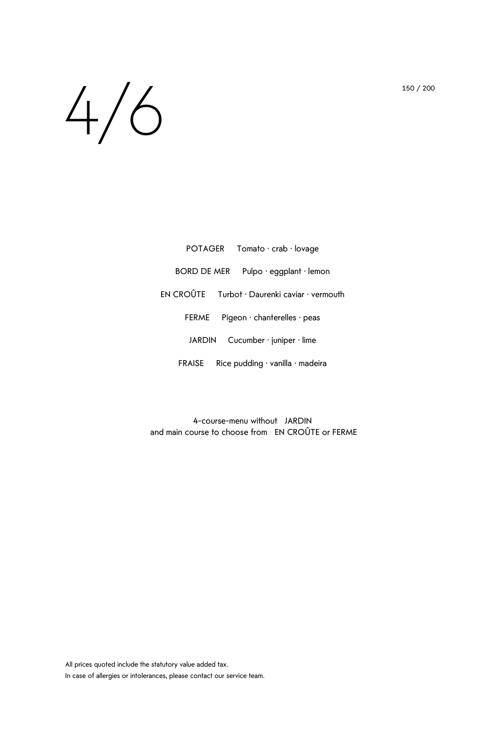## $4/6$  150/200

| POTAGER Tomato · crab · lovage                         |
|--------------------------------------------------------|
| BORD DE MER<br>Pulpo $\cdot$ eggplant $\cdot$ lemon    |
| $EN CROÛTE$ Turbot · Daurenki caviar · vermouth        |
| Pigeon $\cdot$ chanterelles $\cdot$ peas<br>FERME      |
| Cucumber $\cdot$ juniper $\cdot$ lime<br>JARDIN        |
| Rice pudding $\cdot$ vanilla $\cdot$ madeira<br>FRAISE |

4-course-menu without JARDIN and main course to choose from EN CROÛTE or FERME

All prices quoted include the statutory value added tax. In case of allergies or intolerances, please contact our service team.